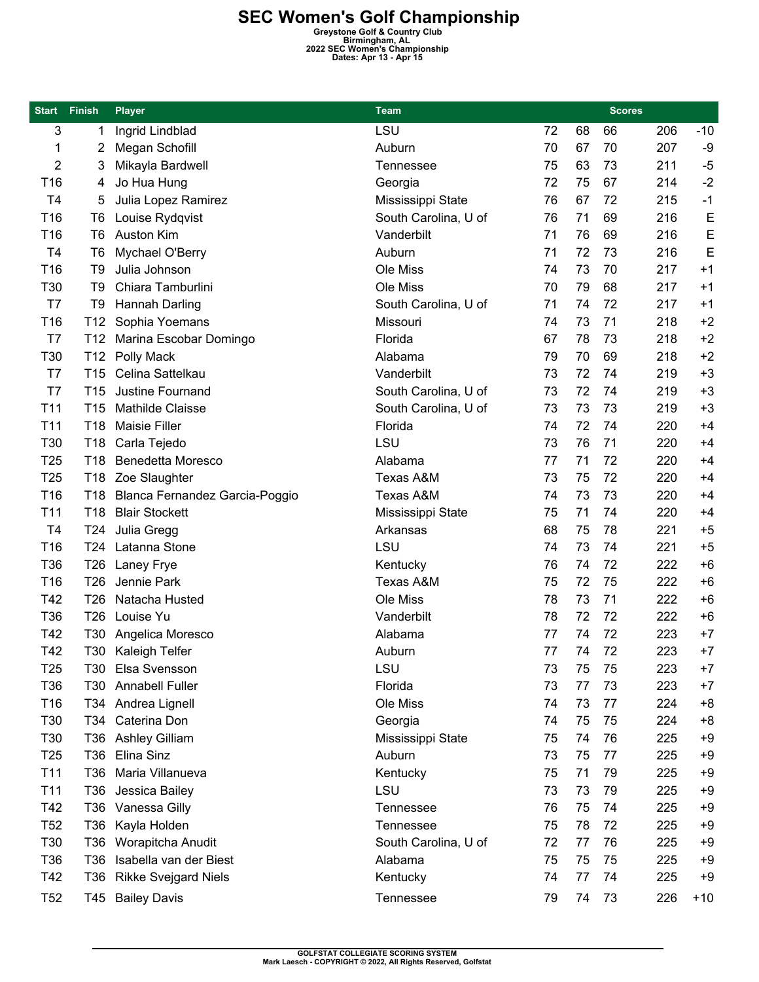**SEC Women's Golf Championship**<br> **Greystone Golf & Country Club**<br> **Birmingham, AL**<br> **Dates: Apr 13 - Apr 15**<br> **Dates: Apr 13 - Apr 15** 

| <b>Start</b>    | Finish          | <b>Player</b>                  | <b>Team</b>          |          |    |    | <b>Scores</b> |       |
|-----------------|-----------------|--------------------------------|----------------------|----------|----|----|---------------|-------|
| 3               | 1               | Ingrid Lindblad                | LSU                  | 72       | 68 | 66 | 206           | $-10$ |
| 1               | 2               | Megan Schofill                 | Auburn               | 70       | 67 | 70 | 207           | $-9$  |
| 2               | 3               | Mikayla Bardwell               | <b>Tennessee</b>     | 75       | 63 | 73 | 211           | $-5$  |
| T16             | 4               | Jo Hua Hung                    | Georgia              | 72       | 75 | 67 | 214           | $-2$  |
| T <sub>4</sub>  | 5               | Julia Lopez Ramirez            | Mississippi State    | 76       | 67 | 72 | 215           | $-1$  |
| T16             | T6              | Louise Rydqvist                | South Carolina, U of | 76       | 71 | 69 | 216           | E     |
| T16             | T6              | <b>Auston Kim</b>              | Vanderbilt           | 71       | 76 | 69 | 216           | E     |
| T <sub>4</sub>  | T6              | Mychael O'Berry                | Auburn               | 71       | 72 | 73 | 216           | E     |
| T16             | T9              | Julia Johnson                  | Ole Miss             | 74       | 73 | 70 | 217           | $+1$  |
| T30             | T9              | Chiara Tamburlini              | Ole Miss             | 70       | 79 | 68 | 217           | $+1$  |
| T7              | T9              | Hannah Darling                 | South Carolina, U of | 71       | 74 | 72 | 217           | $+1$  |
| T16             | T12             | Sophia Yoemans                 | Missouri             | 74       | 73 | 71 | 218           | $+2$  |
| T7              | T12             | Marina Escobar Domingo         | Florida              | 67       | 78 | 73 | 218           | $+2$  |
| T30             | T12             | Polly Mack                     | Alabama              | 79       | 70 | 69 | 218           | $+2$  |
| T7              | T <sub>15</sub> | Celina Sattelkau               | Vanderbilt           | 73       | 72 | 74 | 219           | $+3$  |
| T7              | T <sub>15</sub> | Justine Fournand               | South Carolina, U of | 73       | 72 | 74 | 219           | $+3$  |
| T <sub>11</sub> | T15             | Mathilde Claisse               | South Carolina, U of | 73       | 73 | 73 | 219           | $+3$  |
| T <sub>11</sub> | T <sub>18</sub> | <b>Maisie Filler</b>           | Florida              | 74       | 72 | 74 | 220           | $+4$  |
| T30             | T <sub>18</sub> | Carla Tejedo                   | LSU                  | 73       | 76 | 71 | 220           | $+4$  |
| T <sub>25</sub> | T18             | <b>Benedetta Moresco</b>       | Alabama              | 77       | 71 | 72 | 220           | $+4$  |
| T <sub>25</sub> | T18             | Zoe Slaughter                  | Texas A&M            | 73       | 75 | 72 | 220           | $+4$  |
| T16             | T18             | Blanca Fernandez Garcia-Poggio | Texas A&M            | 74       | 73 | 73 | 220           | $+4$  |
| T11             | T18             | <b>Blair Stockett</b>          | Mississippi State    | 75       | 71 | 74 | 220           | $+4$  |
| T <sub>4</sub>  | T <sub>24</sub> | Julia Gregg                    | Arkansas             | 68       | 75 | 78 | 221           | $+5$  |
| T16             | T24             | Latanna Stone                  | LSU                  | 74       | 73 | 74 | 221           | $+5$  |
| T36             | T <sub>26</sub> | Laney Frye                     | Kentucky             | 76       | 74 | 72 | 222           | $+6$  |
| T16             | T <sub>26</sub> | Jennie Park                    | <b>Texas A&amp;M</b> | 75       | 72 | 75 | 222           | $+6$  |
| T42             | T <sub>26</sub> | Natacha Husted                 | Ole Miss             | 78       | 73 | 71 | 222           | $+6$  |
| T36             | T <sub>26</sub> | Louise Yu                      | Vanderbilt           | 78       | 72 | 72 | 222           | $+6$  |
| T42             | T30             |                                | Alabama              | 77       | 74 | 72 | 223           | $+7$  |
| T42             | T30             | Angelica Moresco               |                      |          |    |    | 223           | $+7$  |
|                 |                 | Kaleigh Telfer                 | Auburn<br>LSU        | 77       | 74 | 72 |               |       |
| T <sub>25</sub> | T30             | Elsa Svensson                  |                      | 73<br>73 | 75 | 75 | 223           | $+7$  |
| T36             | T30             | <b>Annabell Fuller</b>         | Florida              |          | 77 | 73 | 223           | $+7$  |
| T16             |                 | T34 Andrea Lignell             | Ole Miss             | 74       | 73 | 77 | 224           | $+8$  |
| T30             | T34             | Caterina Don                   | Georgia              | 74       | 75 | 75 | 224           | $+8$  |
| T30             | T36             | <b>Ashley Gilliam</b>          | Mississippi State    | 75       | 74 | 76 | 225           | $+9$  |
| T <sub>25</sub> | T36             | Elina Sinz                     | Auburn               | 73       | 75 | 77 | 225           | $+9$  |
| T11             | T36             | Maria Villanueva               | Kentucky             | 75       | 71 | 79 | 225           | $+9$  |
| T <sub>11</sub> | T36             | Jessica Bailey                 | LSU                  | 73       | 73 | 79 | 225           | $+9$  |
| T42             | T36             | Vanessa Gilly                  | Tennessee            | 76       | 75 | 74 | 225           | $+9$  |
| T <sub>52</sub> | T36             | Kayla Holden                   | Tennessee            | 75       | 78 | 72 | 225           | $+9$  |
| T30             | T36             | Worapitcha Anudit              | South Carolina, U of | 72       | 77 | 76 | 225           | $+9$  |
| T36             | T36             | Isabella van der Biest         | Alabama              | 75       | 75 | 75 | 225           | $+9$  |
| T42             | T36             | <b>Rikke Svejgard Niels</b>    | Kentucky             | 74       | 77 | 74 | 225           | $+9$  |
| <b>T52</b>      | T45             | <b>Bailey Davis</b>            | <b>Tennessee</b>     | 79       | 74 | 73 | 226           | $+10$ |